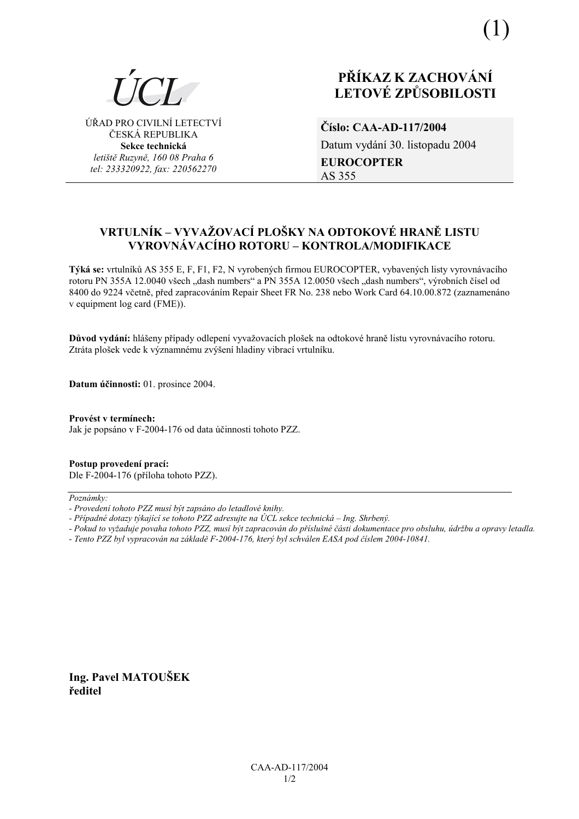

ÚŘAD PRO CIVILNÍ LETECTVÍ ČESKÁ REPUBLIKA **Sekce technická** *letiötě Ruzyně, 160 08 Praha 6 tel: 233320922, fax: 220562270*

# **PŘÍKAZ K ZACHOVÁNÍ LETOV… ZPŮSOBILOSTI**

**ČÌslo: CAA-AD-117/2004**  Datum vydání 30. listopadu 2004 **EUROCOPTER**  AS 355

# **VRTULNÕK ñ VYVAéOVACÕ PLOäKY NA ODTOKOV… HRANĚ LISTU**  VYROVNÁVACÍHO ROTORU – KONTROLA/MODIFIKACE

**Týká se:** vrtulníků AS 355 E, F, F1, F2, N vyrobených firmou EUROCOPTER, vybavených listy vyrovnávacího rotoru PN 355A 12.0040 všech "dash numbers" a PN 355A 12.0050 všech "dash numbers", výrobních čísel od 8400 do 9224 včetně, před zapracováním Repair Sheet FR No. 238 nebo Work Card 64.10.00.872 (zaznamenáno v equipment log card (FME)).

Důvod vydání: hlášeny případy odlepení vyvažovacích plošek na odtokové hraně listu vyrovnávacího rotoru. Ztráta plošek vede k významnému zvýšení hladiny vibrací vrtulníku.

**Datum ˙činnosti:** 01. prosince 2004.

Provést v termínech: Jak je popsáno v F-2004-176 od data účinnosti tohoto PZZ.

**Postup provedenÌ pracÌ:**  Dle F-2004-176 (příloha tohoto PZZ).

 $Poznámkv:$ 

- *Pokud to vyûaduje povaha tohoto PZZ, musÌ b˝t zapracov·n do přÌsluönÈ č·sti dokumentace pro obsluhu, ˙drûbu a opravy letadla.*
- *Tento PZZ byl vypracov·n na z·kladě F-2004-176, kter˝ byl schv·len EASA pod čÌslem 2004-10841.*

**Ing. Pavel MATOUäEK ředitel** 

*<sup>-</sup> ProvedenÌ tohoto PZZ musÌ b˝t zaps·no do letadlovÈ knihy.* 

*<sup>-</sup> Případné dotazy týkající se tohoto PZZ adresujte na ÚCL sekce technická – Ing. Shrbený.*